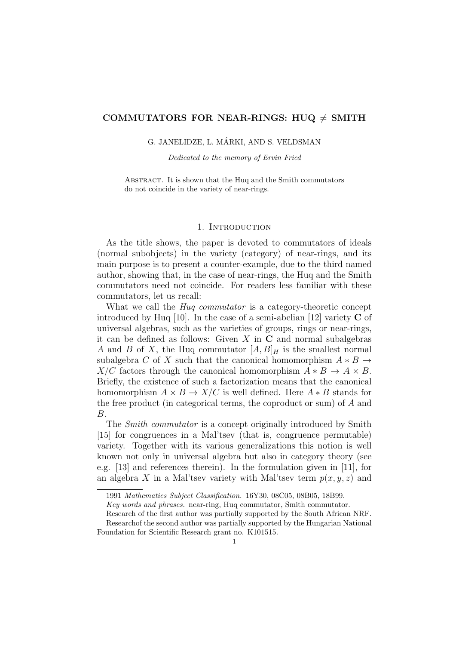# COMMUTATORS FOR NEAR-RINGS: HUQ  $\neq$  SMITH

## G. JANELIDZE, L. MÁRKI, AND S. VELDSMAN

Dedicated to the memory of Ervin Fried

Abstract. It is shown that the Huq and the Smith commutators do not coincide in the variety of near-rings.

# 1. INTRODUCTION

As the title shows, the paper is devoted to commutators of ideals (normal subobjects) in the variety (category) of near-rings, and its main purpose is to present a counter-example, due to the third named author, showing that, in the case of near-rings, the Huq and the Smith commutators need not coincide. For readers less familiar with these commutators, let us recall:

What we call the *Hug commutator* is a category-theoretic concept introduced by Huq [10]. In the case of a semi-abelian [12] variety  $C$  of universal algebras, such as the varieties of groups, rings or near-rings, it can be defined as follows: Given  $X$  in  $C$  and normal subalgebras A and B of X, the Huq commutator  $[A, B]_H$  is the smallest normal subalgebra C of X such that the canonical homomorphism  $A * B \to$  $X/C$  factors through the canonical homomorphism  $A * B \to A \times B$ . Briefly, the existence of such a factorization means that the canonical homomorphism  $A \times B \to X/C$  is well defined. Here  $A * B$  stands for the free product (in categorical terms, the coproduct or sum) of A and B.

The *Smith commutator* is a concept originally introduced by Smith [15] for congruences in a Mal'tsev (that is, congruence permutable) variety. Together with its various generalizations this notion is well known not only in universal algebra but also in category theory (see e.g. [13] and references therein). In the formulation given in [11], for an algebra X in a Mal'tsev variety with Mal'tsev term  $p(x, y, z)$  and

<sup>1991</sup> Mathematics Subject Classification. 16Y30, 08C05, 08B05, 18B99.

Key words and phrases. near-ring, Huq commutator, Smith commutator.

Research of the first author was partially supported by the South African NRF.

Researchof the second author was partially supported by the Hungarian National Foundation for Scientific Research grant no. K101515.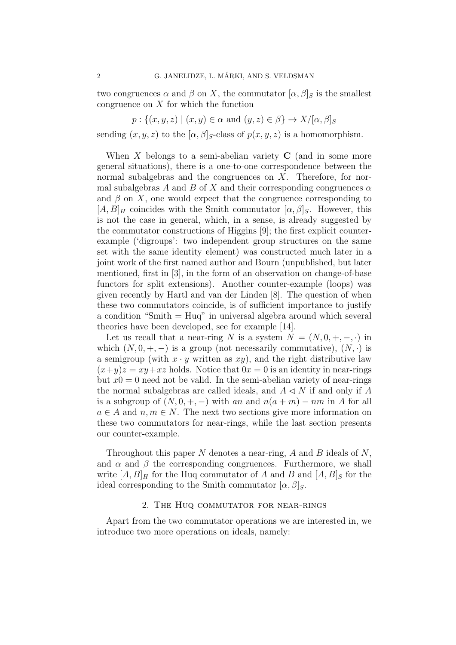two congruences  $\alpha$  and  $\beta$  on X, the commutator  $[\alpha, \beta]_S$  is the smallest congruence on  $X$  for which the function

 $p: \{(x, y, z) \mid (x, y) \in \alpha \text{ and } (y, z) \in \beta\} \rightarrow X/[\alpha, \beta]_S$ 

sending  $(x, y, z)$  to the  $[\alpha, \beta]_S$ -class of  $p(x, y, z)$  is a homomorphism.

When X belongs to a semi-abelian variety  $C$  (and in some more general situations), there is a one-to-one correspondence between the normal subalgebras and the congruences on  $X$ . Therefore, for normal subalgebras A and B of X and their corresponding congruences  $\alpha$ and  $\beta$  on X, one would expect that the congruence corresponding to  $[A, B]$ <sub>H</sub> coincides with the Smith commutator  $[\alpha, \beta]$ <sub>S</sub>. However, this is not the case in general, which, in a sense, is already suggested by the commutator constructions of Higgins [9]; the first explicit counterexample ('digroups': two independent group structures on the same set with the same identity element) was constructed much later in a joint work of the first named author and Bourn (unpublished, but later mentioned, first in [3], in the form of an observation on change-of-base functors for split extensions). Another counter-example (loops) was given recently by Hartl and van der Linden [8]. The question of when these two commutators coincide, is of sufficient importance to justify a condition "Smith = Huq" in universal algebra around which several theories have been developed, see for example [14].

Let us recall that a near-ring N is a system  $N = (N, 0, +, -, \cdot)$  in which  $(N, 0, +, -)$  is a group (not necessarily commutative),  $(N, \cdot)$  is a semigroup (with  $x \cdot y$  written as  $xy$ ), and the right distributive law  $(x+y)z = xy+xz$  holds. Notice that  $0x = 0$  is an identity in near-rings but  $x0 = 0$  need not be valid. In the semi-abelian variety of near-rings the normal subalgebras are called ideals, and  $A \triangleleft N$  if and only if A is a subgroup of  $(N, 0, +, -)$  with an and  $n(a + m) - nm$  in A for all  $a \in A$  and  $n, m \in N$ . The next two sections give more information on these two commutators for near-rings, while the last section presents our counter-example.

Throughout this paper N denotes a near-ring, A and B ideals of  $N$ , and  $\alpha$  and  $\beta$  the corresponding congruences. Furthermore, we shall write  $[A, B]_H$  for the Huq commutator of A and B and  $[A, B]_S$  for the ideal corresponding to the Smith commutator  $[\alpha, \beta]_S$ .

## 2. The Huq commutator for near-rings

Apart from the two commutator operations we are interested in, we introduce two more operations on ideals, namely: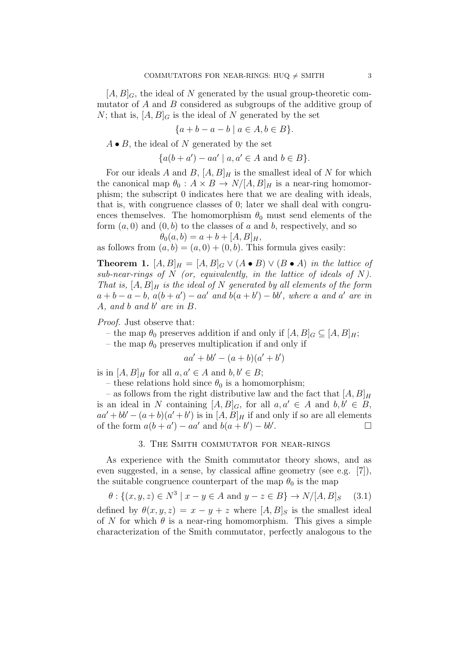$[A, B]_G$ , the ideal of N generated by the usual group-theoretic commutator of A and B considered as subgroups of the additive group of N; that is,  $[A, B]_G$  is the ideal of N generated by the set

$$
\{a + b - a - b \mid a \in A, b \in B\}.
$$

 $A \bullet B$ , the ideal of N generated by the set

 ${a(b+a') - aa' \mid a, a' \in A \text{ and } b \in B}.$ 

For our ideals A and B,  $[A, B]_H$  is the smallest ideal of N for which the canonical map  $\theta_0 : A \times B \to N/[A, B]_H$  is a near-ring homomorphism; the subscript 0 indicates here that we are dealing with ideals, that is, with congruence classes of 0; later we shall deal with congruences themselves. The homomorphism  $\theta_0$  must send elements of the form  $(a, 0)$  and  $(0, b)$  to the classes of a and b, respectively, and so  $\theta_0(a, b) = a + b + [A, B]_H,$ 

as follows from  $(a, b) = (a, 0) + (0, b)$ . This formula gives easily:

**Theorem 1.**  $[A, B]_H = [A, B]_G \vee (A \bullet B) \vee (B \bullet A)$  in the lattice of sub-near-rings of  $N$  (or, equivalently, in the lattice of ideals of  $N$ ). That is,  $[A, B]_H$  is the ideal of N generated by all elements of the form  $a + b - a - b$ ,  $a(b + a') - aa'$  and  $b(a + b') - bb'$ , where a and a' are in  $A$ , and  $b$  and  $b'$  are in  $B$ .

Proof. Just observe that:

– the map  $\theta_0$  preserves addition if and only if  $[A, B]_G \subset [A, B]_H$ ;

– the map  $\theta_0$  preserves multiplication if and only if

$$
aa'+bb'-(a+b)(a'+b')
$$

is in  $[A, B]_H$  for all  $a, a' \in A$  and  $b, b' \in B$ ;

– these relations hold since  $\theta_0$  is a homomorphism;

– as follows from the right distributive law and the fact that  $[A, B]_H$ is an ideal in N containing  $[A, B]_G$ , for all  $a, a' \in A$  and  $b, b' \in B$ ,  $aa' + bb' - (a + b)(a' + b')$  is in  $[A, B]_H$  if and only if so are all elements of the form  $a(b + a') - aa'$  and  $b(a + b') - bb'$ . В последните и последните и последните и последните и последните и последните и последните и последните и по<br>В последните и последните и последните и последните и последните и последните и последните и последните и посл

## 3. The Smith commutator for near-rings

As experience with the Smith commutator theory shows, and as even suggested, in a sense, by classical affine geometry (see e.g. [7]), the suitable congruence counterpart of the map  $\theta_0$  is the map

$$
\theta
$$
: {( $x, y, z$ )  $\in N^3 | x - y \in A$  and  $y - z \in B$ }  $\rightarrow N/[A, B]_S$  (3.1)

defined by  $\theta(x, y, z) = x - y + z$  where  $[A, B]_S$  is the smallest ideal of N for which  $\theta$  is a near-ring homomorphism. This gives a simple characterization of the Smith commutator, perfectly analogous to the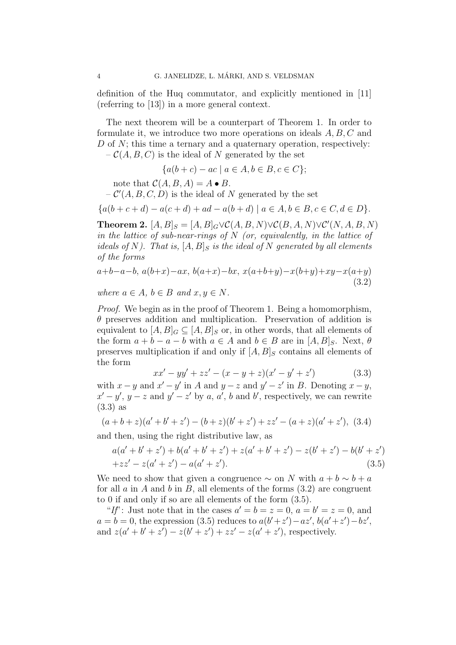definition of the Huq commutator, and explicitly mentioned in [11] (referring to [13]) in a more general context.

The next theorem will be a counterpart of Theorem 1. In order to formulate it, we introduce two more operations on ideals  $A, B, C$  and D of  $N$ ; this time a ternary and a quaternary operation, respectively:  $- C(A, B, C)$  is the ideal of N generated by the set

$$
\{a(b+c) - ac \mid a \in A, b \in B, c \in C\};
$$

note that  $C(A, B, A) = A \bullet B$ .

 $-C'(A, B, C, D)$  is the ideal of N generated by the set

$$
\{a(b+c+d) - a(c+d) + ad - a(b+d) \mid a \in A, b \in B, c \in C, d \in D\}.
$$

**Theorem 2.**  $[A, B]_S = [A, B]_G \vee C(A, B, N) \vee C(B, A, N) \vee C'(N, A, B, N)$ in the lattice of sub-near-rings of  $N$  (or, equivalently, in the lattice of ideals of N). That is,  $[A, B]_S$  is the ideal of N generated by all elements of the forms

$$
a+b-a-b, a(b+x)-ax, b(a+x)-bx, x(a+b+y)-x(b+y)+xy-x(a+y)
$$
\n(3.2)

where 
$$
a \in A
$$
,  $b \in B$  and  $x, y \in N$ .

Proof. We begin as in the proof of Theorem 1. Being a homomorphism,  $\theta$  preserves addition and multiplication. Preservation of addition is equivalent to  $[A, B]_G \subseteq [A, B]_S$  or, in other words, that all elements of the form  $a + b - a - b$  with  $a \in A$  and  $b \in B$  are in  $[A, B]_S$ . Next,  $\theta$ preserves multiplication if and only if  $[A, B]_S$  contains all elements of the form

$$
xx' - yy' + zz' - (x - y + z)(x' - y' + z')
$$
 (3.3)

with  $x - y$  and  $x' - y'$  in A and  $y - z$  and  $y' - z'$  in B. Denoting  $x - y$ ,  $x'-y'$ ,  $y-z$  and  $y'-z'$  by a, a', b and b', respectively, we can rewrite (3.3) as

$$
(a+b+z)(a'+b'+z') - (b+z)(b'+z') + zz' - (a+z)(a'+z'), (3.4)
$$

and then, using the right distributive law, as

$$
a(a'+b'+z')+b(a'+b'+z')+z(a'+b'+z')-z(b'+z')-b(b'+z')
$$
  
+zz'-z(a'+z')-a(a'+z'). (3.5)

We need to show that given a congruence  $\sim$  on N with  $a + b \sim b + a$ for all  $a$  in  $A$  and  $b$  in  $B$ , all elements of the forms  $(3.2)$  are congruent to 0 if and only if so are all elements of the form (3.5).

"If": Just note that in the cases  $a' = b = z = 0$ ,  $a = b' = z = 0$ , and  $a = b = 0$ , the expression (3.5) reduces to  $a(b'+z') - az'$ ,  $b(a'+z') - bz'$ , and  $z(a'+b'+z') - z(b'+z') + zz' - z(a'+z')$ , respectively.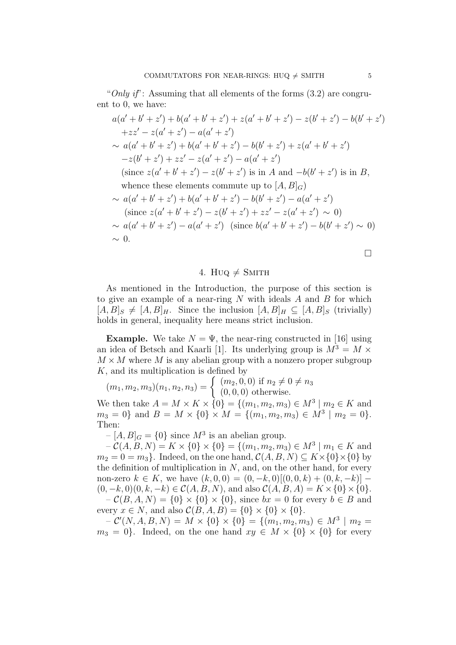"Only if": Assuming that all elements of the forms  $(3.2)$  are congruent to 0, we have:

$$
a(a'+b'+z')+b(a'+b'+z')+z(a'+b'+z') - z(b'+z') - b(b'+z')
$$
  
+zz'-z(a'+z') - a(a'+z')  

$$
\sim a(a'+b'+z')+b(a'+b'+z') - b(b'+z')+z(a'+b'+z')
$$
  
-z(b'+z')+zz'-z(a'+z') - a(a'+z')  
(since z(a'+b'+z') - z(b'+z') is in A and -b(b'+z') is in B,  
whence these elements commute up to [A, B]G)  

$$
\sim a(a'+b'+z') + b(a'+b'+z') - b(b'+z') - a(a'+z')
$$
  
(since z(a'+b'+z') - z(b'+z') + zz' - z(a'+z') \sim 0)  

$$
\sim a(a'+b'+z') - a(a'+z') \text{ (since } b(a'+b'+z') - b(b'+z') \sim 0)
$$
  

$$
\sim 0.
$$

4. Huq  $\neq$  Smith

As mentioned in the Introduction, the purpose of this section is to give an example of a near-ring  $N$  with ideals  $A$  and  $B$  for which  $[A, B]_S \neq [A, B]_H$ . Since the inclusion  $[A, B]_H \subseteq [A, B]_S$  (trivially) holds in general, inequality here means strict inclusion.

**Example.** We take  $N = \Psi$ , the near-ring constructed in [16] using an idea of Betsch and Kaarli [1]. Its underlying group is  $M^3 = M \times$  $M \times M$  where M is any abelian group with a nonzero proper subgroup K, and its multiplication is defined by

$$
(m_1, m_2, m_3)(n_1, n_2, n_3) = \begin{cases} (m_2, 0, 0) \text{ if } n_2 \neq 0 \neq n_3\\ (0, 0, 0) \text{ otherwise.} \end{cases}
$$

We then take  $A = M \times K \times \{0\} = \{(m_1, m_2, m_3) \in M^3 \mid m_2 \in K \text{ and }$  $m_3 = 0$ } and  $B = M \times \{0\} \times M = \{(m_1, m_2, m_3) \in M^3 \mid m_2 = 0\}.$ Then:

 $-[A, B]_G = \{0\}$  since  $M^3$  is an abelian group.

 $- C(A, B, N) = K \times \{0\} \times \{0\} = \{(m_1, m_2, m_3) \in M^3 \mid m_1 \in K \text{ and }$  $m_2 = 0 = m_3$ . Indeed, on the one hand,  $\mathcal{C}(A, B, N) \subseteq K \times \{0\} \times \{0\}$  by the definition of multiplication in  $N$ , and, on the other hand, for every non-zero  $k \in K$ , we have  $(k, 0, 0) = (0, -k, 0)$ [ $(0, 0, k) + (0, k, -k)$ ] –  $(0, -k, 0)(0, k, -k) \in C(A, B, N)$ , and also  $C(A, B, A) = K \times \{0\} \times \{0\}$ .  $- C(B, A, N) = \{0\} \times \{0\} \times \{0\}$ , since  $bx = 0$  for every  $b \in B$  and every  $x \in N$ , and also  $\mathcal{C}(B, A, B) = \{0\} \times \{0\} \times \{0\}.$ 

 $-{\cal C}'(N, A, B, N) = M \times \{0\} \times \{0\} = \{(m_1, m_2, m_3) \in M^3 \mid m_2 =$  $m_3 = 0$ . Indeed, on the one hand  $xy \in M \times \{0\} \times \{0\}$  for every

 $\Box$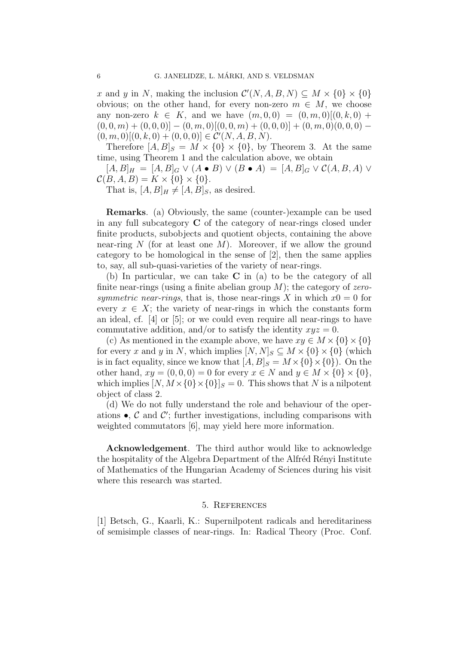x and y in N, making the inclusion  $\mathcal{C}'(N, A, B, N) \subseteq M \times \{0\} \times \{0\}$ obvious; on the other hand, for every non-zero  $m \in M$ , we choose any non-zero  $k \in K$ , and we have  $(m, 0, 0) = (0, m, 0)$ [ $(0, k, 0)$  +  $(0,0,m) + (0,0,0) - (0,m,0)$  $[(0,0,m) + (0,0,0)] + (0,m,0)$  $(0,0,0)$  $(0, m, 0) [(0, k, 0) + (0, 0, 0)] \in \mathcal{C}'(N, A, B, N).$ 

Therefore  $[A, B]_S = M \times \{0\} \times \{0\}$ , by Theorem 3. At the same time, using Theorem 1 and the calculation above, we obtain

 $[A, B]_H = [A, B]_G \vee (A \bullet B) \vee (B \bullet A) = [A, B]_G \vee C(A, B, A) \vee$  $\mathcal{C}(B, A, B) = K \times \{0\} \times \{0\}.$ 

That is,  $[A, B]_H \neq [A, B]_S$ , as desired.

Remarks. (a) Obviously, the same (counter-)example can be used in any full subcategory C of the category of near-rings closed under finite products, subobjects and quotient objects, containing the above near-ring N (for at least one M). Moreover, if we allow the ground category to be homological in the sense of [2], then the same applies to, say, all sub-quasi-varieties of the variety of near-rings.

(b) In particular, we can take C in (a) to be the category of all finite near-rings (using a finite abelian group  $M$ ); the category of zerosymmetric near-rings, that is, those near-rings X in which  $x0 = 0$  for every  $x \in X$ ; the variety of near-rings in which the constants form an ideal, cf. [4] or [5]; or we could even require all near-rings to have commutative addition, and/or to satisfy the identity  $xyz = 0$ .

(c) As mentioned in the example above, we have  $xy \in M \times \{0\} \times \{0\}$ for every x and y in N, which implies  $[N, N]_S \subseteq M \times \{0\} \times \{0\}$  (which is in fact equality, since we know that  $[A, B]_S = M \times \{0\} \times \{0\}$ . On the other hand,  $xy = (0, 0, 0) = 0$  for every  $x \in N$  and  $y \in M \times \{0\} \times \{0\}$ , which implies  $[N, M \times \{0\}]_S = 0$ . This shows that N is a nilpotent object of class 2.

(d) We do not fully understand the role and behaviour of the operations  $\bullet$ , C and C'; further investigations, including comparisons with weighted commutators [6], may yield here more information.

Acknowledgement. The third author would like to acknowledge the hospitality of the Algebra Department of the Alfréd Rényi Institute of Mathematics of the Hungarian Academy of Sciences during his visit where this research was started.

## 5. References

[1] Betsch, G., Kaarli, K.: Supernilpotent radicals and hereditariness of semisimple classes of near-rings. In: Radical Theory (Proc. Conf.